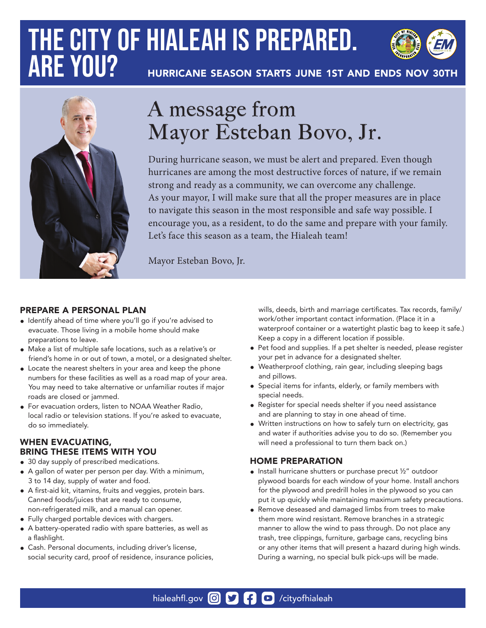# **THE CITY OF HIALEAH IS PREPARED. ARE YOU?**



HURRICANE SEASON STARTS JUNE 1ST AND ENDS NOV 30TH



## A message from Mayor Esteban Bovo, Jr.

During hurricane season, we must be alert and prepared. Even though hurricanes are among the most destructive forces of nature, if we remain strong and ready as a community, we can overcome any challenge. As your mayor, I will make sure that all the proper measures are in place to navigate this season in the most responsible and safe way possible. I encourage you, as a resident, to do the same and prepare with your family. Let's face this season as a team, the Hialeah team!

Mayor Esteban Bovo, Jr.

#### PREPARE A PERSONAL PLAN

- Identify ahead of time where you'll go if you're advised to evacuate. Those living in a mobile home should make preparations to leave.
- Make a list of multiple safe locations, such as a relative's or friend's home in or out of town, a motel, or a designated shelter.
- Locate the nearest shelters in your area and keep the phone numbers for these facilities as well as a road map of your area. You may need to take alternative or unfamiliar routes if major roads are closed or jammed.
- For evacuation orders, listen to NOAA Weather Radio, local radio or television stations. If you're asked to evacuate, do so immediately.

#### WHEN EVACUATING, BRING THESE ITEMS WITH YOU

- 30 day supply of prescribed medications.
- A gallon of water per person per day. With a minimum, 3 to 14 day, supply of water and food.
- A first-aid kit, vitamins, fruits and veggies, protein bars. Canned foods/juices that are ready to consume,
- non-refrigerated milk, and a manual can opener.
- Fully charged portable devices with chargers.
- A battery-operated radio with spare batteries, as well as a flashlight.
- Cash. Personal documents, including driver's license, social security card, proof of residence, insurance policies,

 wills, deeds, birth and marriage certificates. Tax records, family/ work/other important contact information. (Place it in a waterproof container or a watertight plastic bag to keep it safe.) Keep a copy in a different location if possible.

- Pet food and supplies. If a pet shelter is needed, please register your pet in advance for a designated shelter.
- Weatherproof clothing, rain gear, including sleeping bags and pillows.
- Special items for infants, elderly, or family members with special needs.
- Register for special needs shelter if you need assistance and are planning to stay in one ahead of time.
- Written instructions on how to safely turn on electricity, gas and water if authorities advise you to do so. (Remember you will need a professional to turn them back on.)

#### HOME PREPARATION

- Install hurricane shutters or purchase precut ½" outdoor plywood boards for each window of your home. Install anchors for the plywood and predrill holes in the plywood so you can put it up quickly while maintaining maximum safety precautions.
- Remove deseased and damaged limbs from trees to make them more wind resistant. Remove branches in a strategic manner to allow the wind to pass through. Do not place any trash, tree clippings, furniture, garbage cans, recycling bins or any other items that will present a hazard during high winds. During a warning, no special bulk pick-ups will be made.